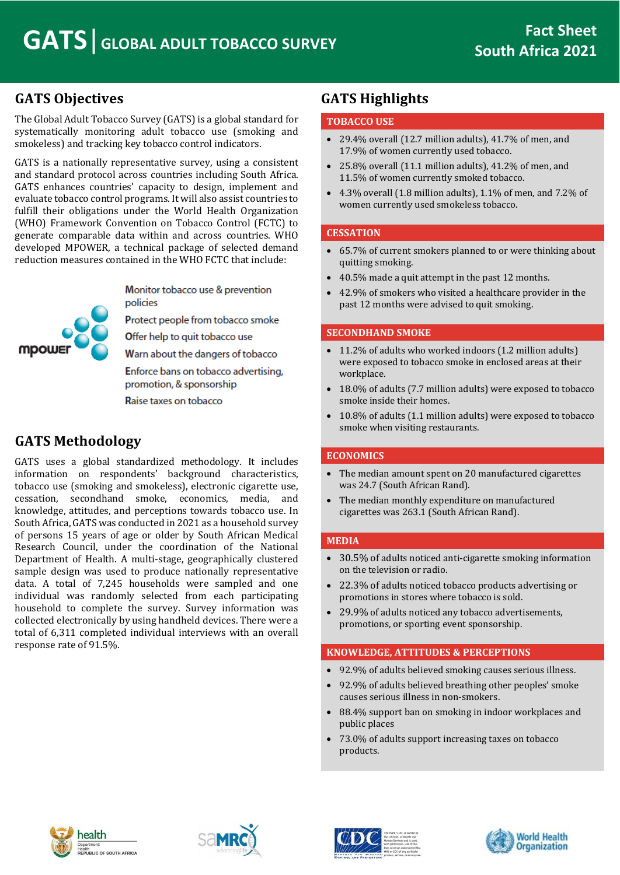## **GATS Objectives**

The Global Adult Tobacco Survey (GATS) is a global standard for systematically monitoring adult tobacco use (smoking and smokeless) and tracking key tobacco control indicators.

GATS is a nationally representative survey, using a consistent and standard protocol across countries including South Africa. GATS enhances countries' capacity to design, implement and evaluate tobacco control programs. It will also assist countries to fulfill their obligations under the World Health Organization (WHO) Framework Convention on Tobacco Control (FCTC) to generate comparable data within and across countries. WHO developed MPOWER, a technical package of selected demand reduction measures contained in the WHO FCTC that include:



Monitor tobacco use & prevention policies

Protect people from tobacco smoke

Offer help to quit tobacco use

Warn about the dangers of tobacco

Enforce bans on tobacco advertising, promotion, & sponsorship

Raise taxes on tobacco

## **GATS Methodology**

GATS uses a global standardized methodology. It includes information on respondents' background characteristics, tobacco use (smoking and smokeless), electronic cigarette use, cessation, secondhand smoke, economics, media, and knowledge, attitudes, and perceptions towards tobacco use. In South Africa, GATS was conducted in 2021 as a household survey of persons 15 years of age or older by South African Medical Research Council, under the coordination of the National Department of Health. A multi-stage, geographically clustered sample design was used to produce nationally representative data. A total of 7,245 households were sampled and one individual was randomly selected from each participating household to complete the survey. Survey information was collected electronically by using handheld devices. There were a total of 6,311 completed individual interviews with an overall response rate of 91.5%.

## **GATS Highlights**

#### **TOBACCO USE**

- 29.4% overall (12.7 million adults), 41.7% of men, and 17.9% of women currently used tobacco.
- 25.8% overall (11.1 million adults), 41.2% of men, and 11.5% of women currently smoked tobacco.
- 4.3% overall (1.8 million adults), 1.1% of men, and 7.2% of women currently used smokeless tobacco.

#### **CESSATION**

- 65.7% of current smokers planned to or were thinking about quitting smoking.
- 40.5% made a quit attempt in the past 12 months.
- 42.9% of smokers who visited a healthcare provider in the past 12 months were advised to quit smoking.

#### **SECONDHAND SMOKE**

- 11.2% of adults who worked indoors (1.2 million adults) were exposed to tobacco smoke in enclosed areas at their workplace.
- 18.0% of adults (7.7 million adults) were exposed to tobacco smoke inside their homes.
- 10.8% of adults (1.1 million adults) were exposed to tobacco smoke when visiting restaurants.

#### **ECONOMICS**

- The median amount spent on 20 manufactured cigarettes was 24.7 (South African Rand).
- The median monthly expenditure on manufactured cigarettes was 263.1 (South African Rand).

#### **MEDIA**

- 30.5% of adults noticed anti-cigarette smoking information on the television or radio.
- 22.3% of adults noticed tobacco products advertising or promotions in stores where tobacco is sold.
- 29.9% of adults noticed any tobacco advertisements, promotions, or sporting event sponsorship.

### **KNOWLEDGE, ATTITUDES & PERCEPTIONS**

- 92.9% of adults believed smoking causes serious illness.
- 92.9% of adults believed breathing other peoples' smoke causes serious illness in non-smokers.
- 88.4% support ban on smoking in indoor workplaces and public places
- 73.0% of adults support increasing taxes on tobacco products.